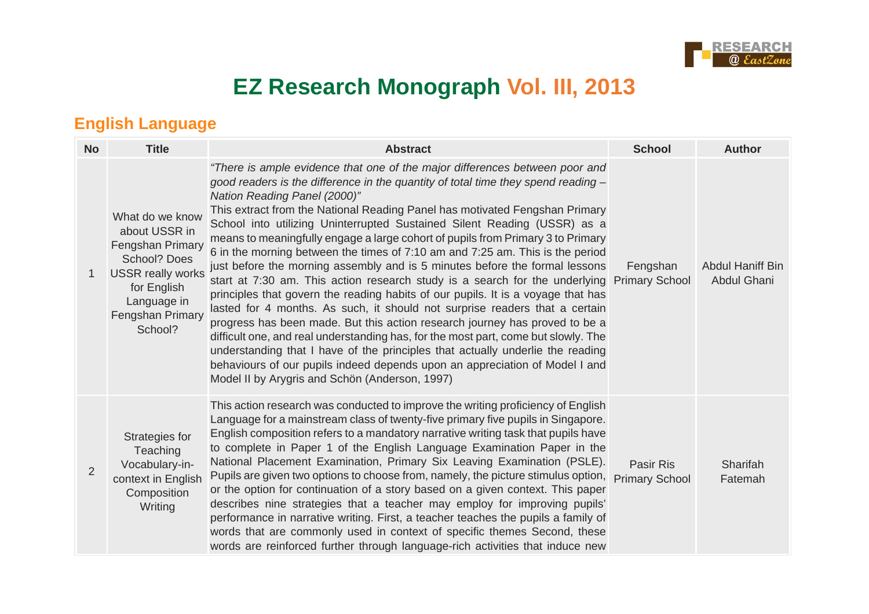

# **EZ Research Monograph Vol. III, 2013**

## **English Language**

| <b>No</b>      | <b>Title</b>                                                                                                                                                  | <b>Abstract</b>                                                                                                                                                                                                                                                                                                                                                                                                                                                                                                                                                                                                                                                                                                                                                                                                                                                                                                                                                                                                                                                                                                                                                                                                                                            | <b>School</b>                             | <b>Author</b>                          |
|----------------|---------------------------------------------------------------------------------------------------------------------------------------------------------------|------------------------------------------------------------------------------------------------------------------------------------------------------------------------------------------------------------------------------------------------------------------------------------------------------------------------------------------------------------------------------------------------------------------------------------------------------------------------------------------------------------------------------------------------------------------------------------------------------------------------------------------------------------------------------------------------------------------------------------------------------------------------------------------------------------------------------------------------------------------------------------------------------------------------------------------------------------------------------------------------------------------------------------------------------------------------------------------------------------------------------------------------------------------------------------------------------------------------------------------------------------|-------------------------------------------|----------------------------------------|
| 1              | What do we know<br>about USSR in<br>Fengshan Primary<br>School? Does<br><b>USSR really works</b><br>for English<br>Language in<br>Fengshan Primary<br>School? | "There is ample evidence that one of the major differences between poor and<br>good readers is the difference in the quantity of total time they spend reading $-$<br>Nation Reading Panel (2000)"<br>This extract from the National Reading Panel has motivated Fengshan Primary<br>School into utilizing Uninterrupted Sustained Silent Reading (USSR) as a<br>means to meaningfully engage a large cohort of pupils from Primary 3 to Primary<br>6 in the morning between the times of 7:10 am and 7:25 am. This is the period<br>just before the morning assembly and is 5 minutes before the formal lessons<br>start at 7:30 am. This action research study is a search for the underlying<br>principles that govern the reading habits of our pupils. It is a voyage that has<br>lasted for 4 months. As such, it should not surprise readers that a certain<br>progress has been made. But this action research journey has proved to be a<br>difficult one, and real understanding has, for the most part, come but slowly. The<br>understanding that I have of the principles that actually underlie the reading<br>behaviours of our pupils indeed depends upon an appreciation of Model I and<br>Model II by Arygris and Schön (Anderson, 1997) | Fengshan<br><b>Primary School</b>         | <b>Abdul Haniff Bin</b><br>Abdul Ghani |
| $\overline{2}$ | Strategies for<br>Teaching<br>Vocabulary-in-<br>context in English<br>Composition<br>Writing                                                                  | This action research was conducted to improve the writing proficiency of English<br>Language for a mainstream class of twenty-five primary five pupils in Singapore.<br>English composition refers to a mandatory narrative writing task that pupils have<br>to complete in Paper 1 of the English Language Examination Paper in the<br>National Placement Examination, Primary Six Leaving Examination (PSLE).<br>Pupils are given two options to choose from, namely, the picture stimulus option,<br>or the option for continuation of a story based on a given context. This paper<br>describes nine strategies that a teacher may employ for improving pupils'<br>performance in narrative writing. First, a teacher teaches the pupils a family of<br>words that are commonly used in context of specific themes Second, these<br>words are reinforced further through language-rich activities that induce new                                                                                                                                                                                                                                                                                                                                      | <b>Pasir Ris</b><br><b>Primary School</b> | Sharifah<br>Fatemah                    |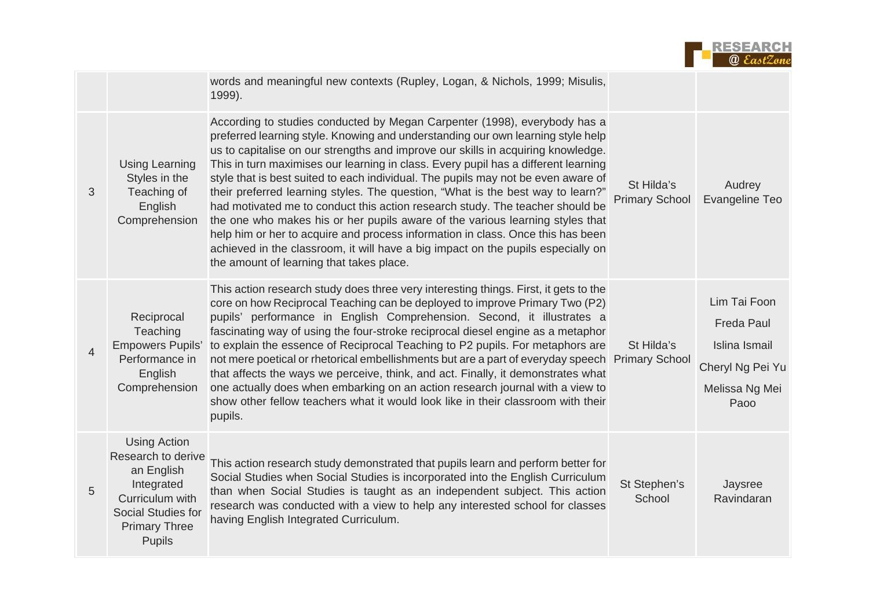

|                |                                                                                                                                                         | words and meaningful new contexts (Rupley, Logan, & Nichols, 1999; Misulis,<br>1999).                                                                                                                                                                                                                                                                                                                                                                                                                                                                                                                                                                                                                                                                                                                                                                                                               |                                     |                                                                                                  |
|----------------|---------------------------------------------------------------------------------------------------------------------------------------------------------|-----------------------------------------------------------------------------------------------------------------------------------------------------------------------------------------------------------------------------------------------------------------------------------------------------------------------------------------------------------------------------------------------------------------------------------------------------------------------------------------------------------------------------------------------------------------------------------------------------------------------------------------------------------------------------------------------------------------------------------------------------------------------------------------------------------------------------------------------------------------------------------------------------|-------------------------------------|--------------------------------------------------------------------------------------------------|
| 3              | <b>Using Learning</b><br>Styles in the<br>Teaching of<br>English<br>Comprehension                                                                       | According to studies conducted by Megan Carpenter (1998), everybody has a<br>preferred learning style. Knowing and understanding our own learning style help<br>us to capitalise on our strengths and improve our skills in acquiring knowledge.<br>This in turn maximises our learning in class. Every pupil has a different learning<br>style that is best suited to each individual. The pupils may not be even aware of<br>their preferred learning styles. The question, "What is the best way to learn?"<br>had motivated me to conduct this action research study. The teacher should be<br>the one who makes his or her pupils aware of the various learning styles that<br>help him or her to acquire and process information in class. Once this has been<br>achieved in the classroom, it will have a big impact on the pupils especially on<br>the amount of learning that takes place. | St Hilda's<br><b>Primary School</b> | Audrey<br>Evangeline Teo                                                                         |
| $\overline{4}$ | Reciprocal<br>Teaching<br><b>Empowers Pupils'</b><br>Performance in<br>English<br>Comprehension                                                         | This action research study does three very interesting things. First, it gets to the<br>core on how Reciprocal Teaching can be deployed to improve Primary Two (P2)<br>pupils' performance in English Comprehension. Second, it illustrates a<br>fascinating way of using the four-stroke reciprocal diesel engine as a metaphor<br>to explain the essence of Reciprocal Teaching to P2 pupils. For metaphors are<br>not mere poetical or rhetorical embellishments but are a part of everyday speech Primary School<br>that affects the ways we perceive, think, and act. Finally, it demonstrates what<br>one actually does when embarking on an action research journal with a view to<br>show other fellow teachers what it would look like in their classroom with their<br>pupils.                                                                                                            | St Hilda's                          | Lim Tai Foon<br><b>Freda Paul</b><br>Islina Ismail<br>Cheryl Ng Pei Yu<br>Melissa Ng Mei<br>Paoo |
| 5              | <b>Using Action</b><br>Research to derive<br>an English<br>Integrated<br>Curriculum with<br>Social Studies for<br><b>Primary Three</b><br><b>Pupils</b> | This action research study demonstrated that pupils learn and perform better for<br>Social Studies when Social Studies is incorporated into the English Curriculum<br>than when Social Studies is taught as an independent subject. This action<br>research was conducted with a view to help any interested school for classes<br>having English Integrated Curriculum.                                                                                                                                                                                                                                                                                                                                                                                                                                                                                                                            | St Stephen's<br>School              | Jaysree<br>Ravindaran                                                                            |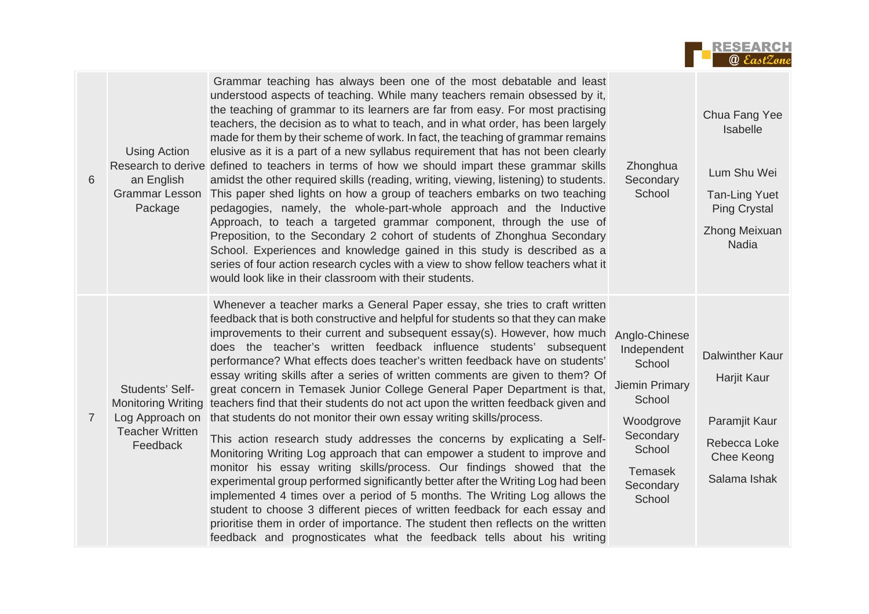

| 6              | <b>Using Action</b><br>an English<br><b>Grammar Lesson</b><br>Package    | Grammar teaching has always been one of the most debatable and least<br>understood aspects of teaching. While many teachers remain obsessed by it,<br>the teaching of grammar to its learners are far from easy. For most practising<br>teachers, the decision as to what to teach, and in what order, has been largely<br>made for them by their scheme of work. In fact, the teaching of grammar remains<br>elusive as it is a part of a new syllabus requirement that has not been clearly<br>Research to derive defined to teachers in terms of how we should impart these grammar skills<br>amidst the other required skills (reading, writing, viewing, listening) to students.<br>This paper shed lights on how a group of teachers embarks on two teaching<br>pedagogies, namely, the whole-part-whole approach and the Inductive<br>Approach, to teach a targeted grammar component, through the use of<br>Preposition, to the Secondary 2 cohort of students of Zhonghua Secondary<br>School. Experiences and knowledge gained in this study is described as a<br>series of four action research cycles with a view to show fellow teachers what it<br>would look like in their classroom with their students.                                                                                                                                                                      | Zhonghua<br>Secondary<br>School                                                                                                                        | Chua Fang Yee<br>Isabelle<br>Lum Shu Wei<br><b>Tan-Ling Yuet</b><br><b>Ping Crystal</b><br>Zhong Meixuan<br><b>Nadia</b> |
|----------------|--------------------------------------------------------------------------|-----------------------------------------------------------------------------------------------------------------------------------------------------------------------------------------------------------------------------------------------------------------------------------------------------------------------------------------------------------------------------------------------------------------------------------------------------------------------------------------------------------------------------------------------------------------------------------------------------------------------------------------------------------------------------------------------------------------------------------------------------------------------------------------------------------------------------------------------------------------------------------------------------------------------------------------------------------------------------------------------------------------------------------------------------------------------------------------------------------------------------------------------------------------------------------------------------------------------------------------------------------------------------------------------------------------------------------------------------------------------------------------------|--------------------------------------------------------------------------------------------------------------------------------------------------------|--------------------------------------------------------------------------------------------------------------------------|
| $\overline{7}$ | Students' Self-<br>Log Approach on<br><b>Teacher Written</b><br>Feedback | Whenever a teacher marks a General Paper essay, she tries to craft written<br>feedback that is both constructive and helpful for students so that they can make<br>improvements to their current and subsequent essay(s). However, how much<br>does the teacher's written feedback influence students' subsequent<br>performance? What effects does teacher's written feedback have on students'<br>essay writing skills after a series of written comments are given to them? Of<br>great concern in Temasek Junior College General Paper Department is that,<br>Monitoring Writing teachers find that their students do not act upon the written feedback given and<br>that students do not monitor their own essay writing skills/process.<br>This action research study addresses the concerns by explicating a Self-<br>Monitoring Writing Log approach that can empower a student to improve and<br>monitor his essay writing skills/process. Our findings showed that the<br>experimental group performed significantly better after the Writing Log had been<br>implemented 4 times over a period of 5 months. The Writing Log allows the<br>student to choose 3 different pieces of written feedback for each essay and<br>prioritise them in order of importance. The student then reflects on the written<br>feedback and prognosticates what the feedback tells about his writing | Anglo-Chinese<br>Independent<br>School<br><b>Jiemin Primary</b><br>School<br>Woodgrove<br>Secondary<br>School<br><b>Temasek</b><br>Secondary<br>School | <b>Dalwinther Kaur</b><br>Harjit Kaur<br>Paramjit Kaur<br>Rebecca Loke<br>Chee Keong<br>Salama Ishak                     |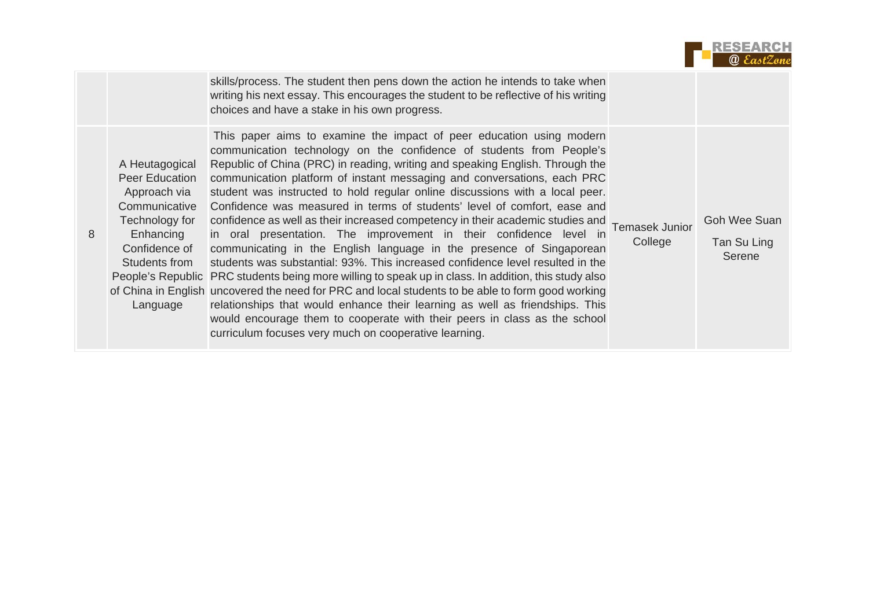| <b>RESEARCH</b>   |
|-------------------|
| <b>@</b> EastZone |

|                                                                                                                                                | skills/process. The student then pens down the action he intends to take when<br>writing his next essay. This encourages the student to be reflective of his writing<br>choices and have a stake in his own progress.                                                                                                                                                                                                                                                                                                                                                                                                                                                                                                                                                                                                                                                                                                                                                                                                                                                                                                                                                                                                                       |         |                                       |
|------------------------------------------------------------------------------------------------------------------------------------------------|---------------------------------------------------------------------------------------------------------------------------------------------------------------------------------------------------------------------------------------------------------------------------------------------------------------------------------------------------------------------------------------------------------------------------------------------------------------------------------------------------------------------------------------------------------------------------------------------------------------------------------------------------------------------------------------------------------------------------------------------------------------------------------------------------------------------------------------------------------------------------------------------------------------------------------------------------------------------------------------------------------------------------------------------------------------------------------------------------------------------------------------------------------------------------------------------------------------------------------------------|---------|---------------------------------------|
| A Heutagogical<br>Peer Education<br>Approach via<br>Communicative<br>Technology for<br>Enhancing<br>Confidence of<br>Students from<br>Language | This paper aims to examine the impact of peer education using modern<br>communication technology on the confidence of students from People's<br>Republic of China (PRC) in reading, writing and speaking English. Through the<br>communication platform of instant messaging and conversations, each PRC<br>student was instructed to hold regular online discussions with a local peer.<br>Confidence was measured in terms of students' level of comfort, ease and<br>confidence as well as their increased competency in their academic studies and<br>Temasek Junior<br>in oral presentation. The improvement in their confidence level in<br>communicating in the English language in the presence of Singaporean<br>students was substantial: 93%. This increased confidence level resulted in the<br>People's Republic PRC students being more willing to speak up in class. In addition, this study also<br>of China in English uncovered the need for PRC and local students to be able to form good working<br>relationships that would enhance their learning as well as friendships. This<br>would encourage them to cooperate with their peers in class as the school<br>curriculum focuses very much on cooperative learning. | College | Goh Wee Suan<br>Tan Su Ling<br>Serene |

8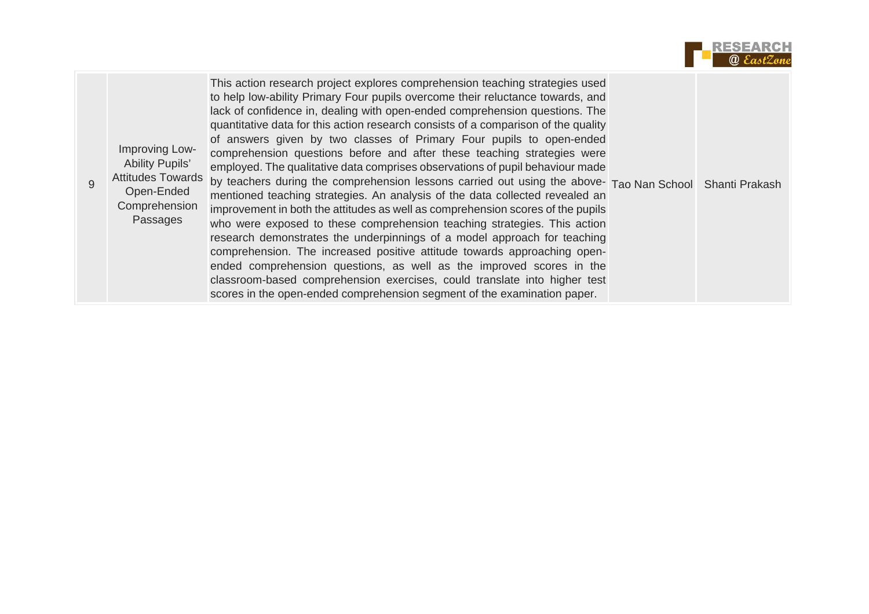

| Improving Low-<br><b>Ability Pupils'</b><br><b>Attitudes Towards</b><br>Open-Ended<br>Comprehension<br>Passages | This action research project explores comprehension teaching strategies used<br>to help low-ability Primary Four pupils overcome their reluctance towards, and<br>lack of confidence in, dealing with open-ended comprehension questions. The<br>quantitative data for this action research consists of a comparison of the quality<br>of answers given by two classes of Primary Four pupils to open-ended<br>comprehension questions before and after these teaching strategies were<br>employed. The qualitative data comprises observations of pupil behaviour made<br>by teachers during the comprehension lessons carried out using the above- Tao Nan School Shanti Prakash<br>mentioned teaching strategies. An analysis of the data collected revealed an<br>improvement in both the attitudes as well as comprehension scores of the pupils<br>who were exposed to these comprehension teaching strategies. This action<br>research demonstrates the underpinnings of a model approach for teaching<br>comprehension. The increased positive attitude towards approaching open-<br>ended comprehension questions, as well as the improved scores in the<br>classroom-based comprehension exercises, could translate into higher test<br>scores in the open-ended comprehension segment of the examination paper. |  |  |
|-----------------------------------------------------------------------------------------------------------------|----------------------------------------------------------------------------------------------------------------------------------------------------------------------------------------------------------------------------------------------------------------------------------------------------------------------------------------------------------------------------------------------------------------------------------------------------------------------------------------------------------------------------------------------------------------------------------------------------------------------------------------------------------------------------------------------------------------------------------------------------------------------------------------------------------------------------------------------------------------------------------------------------------------------------------------------------------------------------------------------------------------------------------------------------------------------------------------------------------------------------------------------------------------------------------------------------------------------------------------------------------------------------------------------------------------------------|--|--|
|-----------------------------------------------------------------------------------------------------------------|----------------------------------------------------------------------------------------------------------------------------------------------------------------------------------------------------------------------------------------------------------------------------------------------------------------------------------------------------------------------------------------------------------------------------------------------------------------------------------------------------------------------------------------------------------------------------------------------------------------------------------------------------------------------------------------------------------------------------------------------------------------------------------------------------------------------------------------------------------------------------------------------------------------------------------------------------------------------------------------------------------------------------------------------------------------------------------------------------------------------------------------------------------------------------------------------------------------------------------------------------------------------------------------------------------------------------|--|--|

9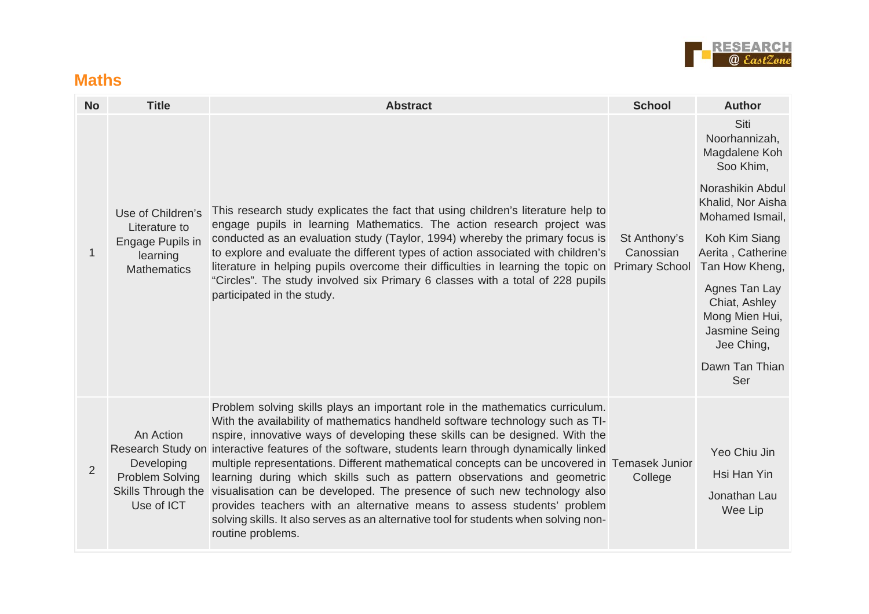

#### **Maths**

| <b>No</b>      | <b>Title</b>                                                        | <b>Abstract</b>                                                                                                                                                                                                                                                                                                                                                                                                                                                                                                                                                                                                                                                                                                                                                                                                       | <b>School</b>                                      | <b>Author</b>                                                                                |
|----------------|---------------------------------------------------------------------|-----------------------------------------------------------------------------------------------------------------------------------------------------------------------------------------------------------------------------------------------------------------------------------------------------------------------------------------------------------------------------------------------------------------------------------------------------------------------------------------------------------------------------------------------------------------------------------------------------------------------------------------------------------------------------------------------------------------------------------------------------------------------------------------------------------------------|----------------------------------------------------|----------------------------------------------------------------------------------------------|
|                | Use of Children's                                                   | This research study explicates the fact that using children's literature help to                                                                                                                                                                                                                                                                                                                                                                                                                                                                                                                                                                                                                                                                                                                                      | St Anthony's<br>Canossian<br><b>Primary School</b> | Siti<br>Noorhannizah,<br>Magdalene Koh<br>Soo Khim,<br>Norashikin Abdul<br>Khalid, Nor Aisha |
| $\mathbf{1}$   | Literature to<br>Engage Pupils in<br>learning<br><b>Mathematics</b> | engage pupils in learning Mathematics. The action research project was<br>conducted as an evaluation study (Taylor, 1994) whereby the primary focus is<br>to explore and evaluate the different types of action associated with children's<br>literature in helping pupils overcome their difficulties in learning the topic on                                                                                                                                                                                                                                                                                                                                                                                                                                                                                       |                                                    | Mohamed Ismail,<br>Koh Kim Siang<br>Aerita, Catherine<br>Tan How Kheng,                      |
|                |                                                                     | "Circles". The study involved six Primary 6 classes with a total of 228 pupils<br>participated in the study.                                                                                                                                                                                                                                                                                                                                                                                                                                                                                                                                                                                                                                                                                                          |                                                    | Agnes Tan Lay<br>Chiat, Ashley<br>Mong Mien Hui,<br>Jasmine Seing<br>Jee Ching,              |
|                |                                                                     |                                                                                                                                                                                                                                                                                                                                                                                                                                                                                                                                                                                                                                                                                                                                                                                                                       |                                                    | Dawn Tan Thian<br>Ser                                                                        |
| $\overline{2}$ | An Action<br>Developing<br><b>Problem Solving</b><br>Use of ICT     | Problem solving skills plays an important role in the mathematics curriculum.<br>With the availability of mathematics handheld software technology such as TI-<br>nspire, innovative ways of developing these skills can be designed. With the<br>Research Study on interactive features of the software, students learn through dynamically linked<br>multiple representations. Different mathematical concepts can be uncovered in Temasek Junior<br>learning during which skills such as pattern observations and geometric<br>Skills Through the visualisation can be developed. The presence of such new technology also<br>provides teachers with an alternative means to assess students' problem<br>solving skills. It also serves as an alternative tool for students when solving non-<br>routine problems. | College                                            | Yeo Chiu Jin<br>Hsi Han Yin<br>Jonathan Lau<br>Wee Lip                                       |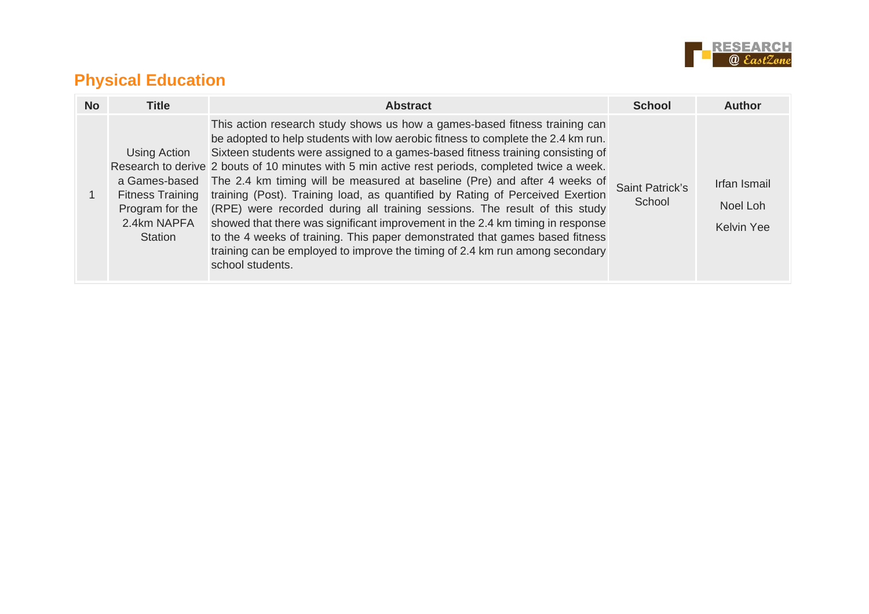

## **Physical Education**

| <b>No</b> | <b>Title</b>                                                                                                 | <b>Abstract</b>                                                                                                                                                                                                                                                                                                                                                                                                                                                                                                                                                                                                                                                                                                                                                                                                                                                        | <b>School</b>             | Author                                        |
|-----------|--------------------------------------------------------------------------------------------------------------|------------------------------------------------------------------------------------------------------------------------------------------------------------------------------------------------------------------------------------------------------------------------------------------------------------------------------------------------------------------------------------------------------------------------------------------------------------------------------------------------------------------------------------------------------------------------------------------------------------------------------------------------------------------------------------------------------------------------------------------------------------------------------------------------------------------------------------------------------------------------|---------------------------|-----------------------------------------------|
|           | Using Action<br>a Games-based<br><b>Fitness Training</b><br>Program for the<br>2.4km NAPFA<br><b>Station</b> | This action research study shows us how a games-based fitness training can<br>be adopted to help students with low aerobic fitness to complete the 2.4 km run.<br>Sixteen students were assigned to a games-based fitness training consisting of<br>Research to derive 2 bouts of 10 minutes with 5 min active rest periods, completed twice a week.<br>The 2.4 km timing will be measured at baseline (Pre) and after 4 weeks of<br>training (Post). Training load, as quantified by Rating of Perceived Exertion<br>(RPE) were recorded during all training sessions. The result of this study<br>showed that there was significant improvement in the 2.4 km timing in response<br>to the 4 weeks of training. This paper demonstrated that games based fitness<br>training can be employed to improve the timing of 2.4 km run among secondary<br>school students. | Saint Patrick's<br>School | Irfan Ismail<br>Noel Loh<br><b>Kelvin Yee</b> |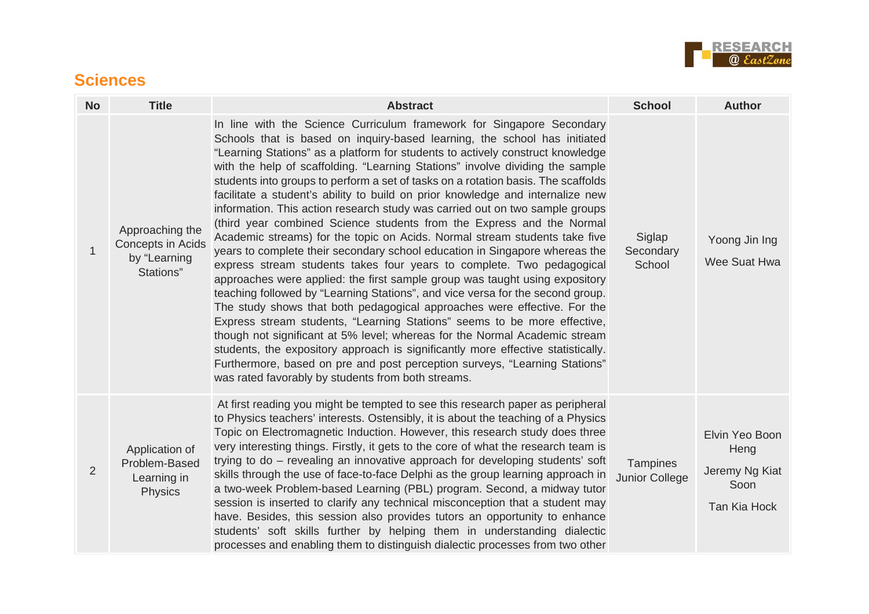

### **Sciences**

| <b>No</b>    | <b>Title</b>                                                             | <b>Abstract</b>                                                                                                                                                                                                                                                                                                                                                                                                                                                                                                                                                                                                                                                                                                                                                                                                                                                                                                                                                                                                                                                                                                                                                                                                                                                                                                                                                                                                                                                                                                            | <b>School</b>                     | <b>Author</b>                                                    |
|--------------|--------------------------------------------------------------------------|----------------------------------------------------------------------------------------------------------------------------------------------------------------------------------------------------------------------------------------------------------------------------------------------------------------------------------------------------------------------------------------------------------------------------------------------------------------------------------------------------------------------------------------------------------------------------------------------------------------------------------------------------------------------------------------------------------------------------------------------------------------------------------------------------------------------------------------------------------------------------------------------------------------------------------------------------------------------------------------------------------------------------------------------------------------------------------------------------------------------------------------------------------------------------------------------------------------------------------------------------------------------------------------------------------------------------------------------------------------------------------------------------------------------------------------------------------------------------------------------------------------------------|-----------------------------------|------------------------------------------------------------------|
| $\mathbf{1}$ | Approaching the<br><b>Concepts in Acids</b><br>by "Learning<br>Stations" | In line with the Science Curriculum framework for Singapore Secondary<br>Schools that is based on inquiry-based learning, the school has initiated<br>"Learning Stations" as a platform for students to actively construct knowledge<br>with the help of scaffolding. "Learning Stations" involve dividing the sample<br>students into groups to perform a set of tasks on a rotation basis. The scaffolds<br>facilitate a student's ability to build on prior knowledge and internalize new<br>information. This action research study was carried out on two sample groups<br>(third year combined Science students from the Express and the Normal<br>Academic streams) for the topic on Acids. Normal stream students take five<br>years to complete their secondary school education in Singapore whereas the<br>express stream students takes four years to complete. Two pedagogical<br>approaches were applied: the first sample group was taught using expository<br>teaching followed by "Learning Stations", and vice versa for the second group.<br>The study shows that both pedagogical approaches were effective. For the<br>Express stream students, "Learning Stations" seems to be more effective,<br>though not significant at 5% level; whereas for the Normal Academic stream<br>students, the expository approach is significantly more effective statistically.<br>Furthermore, based on pre and post perception surveys, "Learning Stations"<br>was rated favorably by students from both streams. | Siglap<br>Secondary<br>School     | Yoong Jin Ing<br>Wee Suat Hwa                                    |
| 2            | Application of<br>Problem-Based<br>Learning in<br><b>Physics</b>         | At first reading you might be tempted to see this research paper as peripheral<br>to Physics teachers' interests. Ostensibly, it is about the teaching of a Physics<br>Topic on Electromagnetic Induction. However, this research study does three<br>very interesting things. Firstly, it gets to the core of what the research team is<br>trying to do – revealing an innovative approach for developing students' soft<br>skills through the use of face-to-face Delphi as the group learning approach in<br>a two-week Problem-based Learning (PBL) program. Second, a midway tutor<br>session is inserted to clarify any technical misconception that a student may<br>have. Besides, this session also provides tutors an opportunity to enhance<br>students' soft skills further by helping them in understanding dialectic<br>processes and enabling them to distinguish dialectic processes from two other                                                                                                                                                                                                                                                                                                                                                                                                                                                                                                                                                                                                        | <b>Tampines</b><br>Junior College | Elvin Yeo Boon<br>Heng<br>Jeremy Ng Kiat<br>Soon<br>Tan Kia Hock |